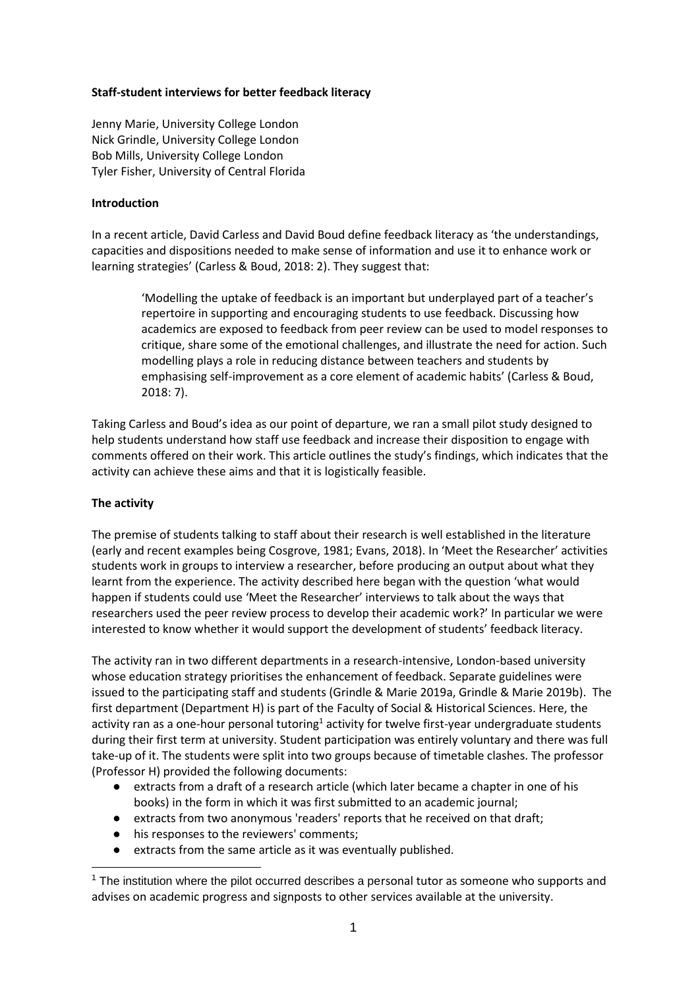### **Staff-student interviews for better feedback literacy**

Jenny Marie, University College London Nick Grindle, University College London Bob Mills, University College London Tyler Fisher, University of Central Florida

### **Introduction**

In a recent article, David Carless and David Boud define feedback literacy as 'the understandings, capacities and dispositions needed to make sense of information and use it to enhance work or learning strategies' (Carless & Boud, 2018: 2). They suggest that:

'Modelling the uptake of feedback is an important but underplayed part of a teacher's repertoire in supporting and encouraging students to use feedback. Discussing how academics are exposed to feedback from peer review can be used to model responses to critique, share some of the emotional challenges, and illustrate the need for action. Such modelling plays a role in reducing distance between teachers and students by emphasising self-improvement as a core element of academic habits' (Carless & Boud, 2018: 7).

Taking Carless and Boud's idea as our point of departure, we ran a small pilot study designed to help students understand how staff use feedback and increase their disposition to engage with comments offered on their work. This article outlines the study's findings, which indicates that the activity can achieve these aims and that it is logistically feasible.

### **The activity**

-

The premise of students talking to staff about their research is well established in the literature (early and recent examples being Cosgrove, 1981; Evans, 2018). In 'Meet the Researcher' activities students work in groups to interview a researcher, before producing an output about what they learnt from the experience. The activity described here began with the question 'what would happen if students could use 'Meet the Researcher' interviews to talk about the ways that researchers used the peer review process to develop their academic work?' In particular we were interested to know whether it would support the development of students' feedback literacy.

The activity ran in two different departments in a research-intensive, London-based university whose education strategy prioritises the enhancement of feedback. Separate guidelines were issued to the participating staff and students (Grindle & Marie 2019a, Grindle & Marie 2019b). The first department (Department H) is part of the Faculty of Social & Historical Sciences. Here, the activity ran as a one-hour personal tutoring<sup>1</sup> activity for twelve first-year undergraduate students during their first term at university. Student participation was entirely voluntary and there was full take-up of it. The students were split into two groups because of timetable clashes. The professor (Professor H) provided the following documents:

- extracts from a draft of a research article (which later became a chapter in one of his books) in the form in which it was first submitted to an academic journal;
- extracts from two anonymous 'readers' reports that he received on that draft;
- his responses to the reviewers' comments;
- extracts from the same article as it was eventually published.

 $<sup>1</sup>$  The institution where the pilot occurred describes a personal tutor as someone who supports and</sup> advises on academic progress and signposts to other services available at the university.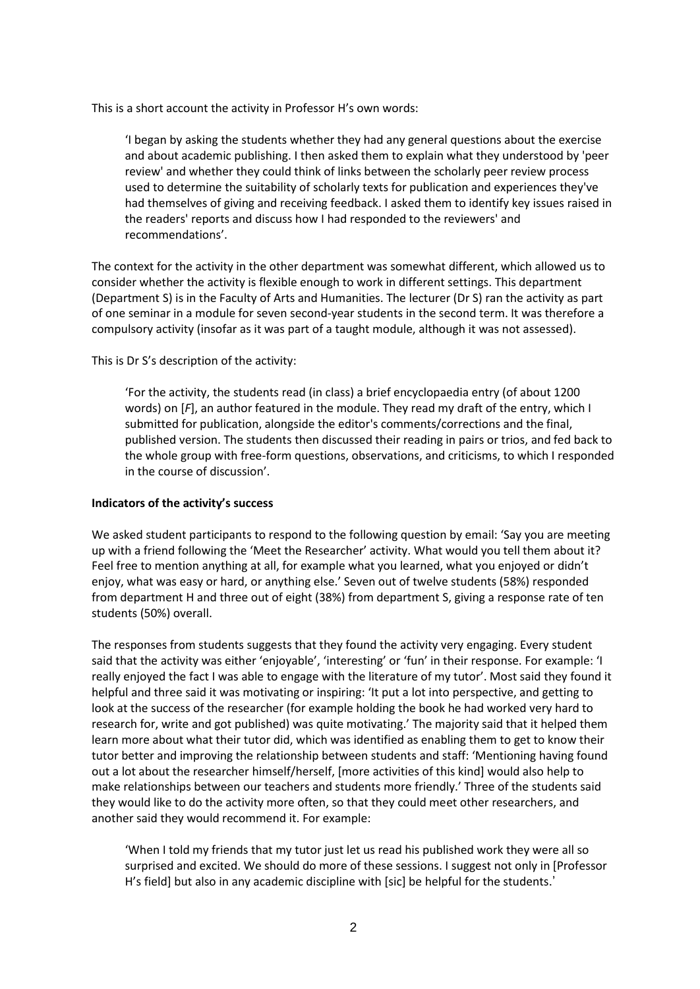This is a short account the activity in Professor H's own words:

'I began by asking the students whether they had any general questions about the exercise and about academic publishing. I then asked them to explain what they understood by 'peer review' and whether they could think of links between the scholarly peer review process used to determine the suitability of scholarly texts for publication and experiences they've had themselves of giving and receiving feedback. I asked them to identify key issues raised in the readers' reports and discuss how I had responded to the reviewers' and recommendations'.

The context for the activity in the other department was somewhat different, which allowed us to consider whether the activity is flexible enough to work in different settings. This department (Department S) is in the Faculty of Arts and Humanities. The lecturer (Dr S) ran the activity as part of one seminar in a module for seven second-year students in the second term. It was therefore a compulsory activity (insofar as it was part of a taught module, although it was not assessed).

This is Dr S's description of the activity:

'For the activity, the students read (in class) a brief encyclopaedia entry (of about 1200 words) on [*F*], an author featured in the module. They read my draft of the entry, which I submitted for publication, alongside the editor's comments/corrections and the final, published version. The students then discussed their reading in pairs or trios, and fed back to the whole group with free-form questions, observations, and criticisms, to which I responded in the course of discussion'.

### **Indicators of the activity's success**

We asked student participants to respond to the following question by email: 'Say you are meeting up with a friend following the 'Meet the Researcher' activity. What would you tell them about it? Feel free to mention anything at all, for example what you learned, what you enjoyed or didn't enjoy, what was easy or hard, or anything else.' Seven out of twelve students (58%) responded from department H and three out of eight (38%) from department S, giving a response rate of ten students (50%) overall.

The responses from students suggests that they found the activity very engaging. Every student said that the activity was either 'enjoyable', 'interesting' or 'fun' in their response. For example: 'I really enjoyed the fact I was able to engage with the literature of my tutor'. Most said they found it helpful and three said it was motivating or inspiring: 'It put a lot into perspective, and getting to look at the success of the researcher (for example holding the book he had worked very hard to research for, write and got published) was quite motivating.' The majority said that it helped them learn more about what their tutor did, which was identified as enabling them to get to know their tutor better and improving the relationship between students and staff: 'Mentioning having found out a lot about the researcher himself/herself, [more activities of this kind] would also help to make relationships between our teachers and students more friendly.' Three of the students said they would like to do the activity more often, so that they could meet other researchers, and another said they would recommend it. For example:

'When I told my friends that my tutor just let us read his published work they were all so surprised and excited. We should do more of these sessions. I suggest not only in [Professor H's field] but also in any academic discipline with [sic] be helpful for the students.'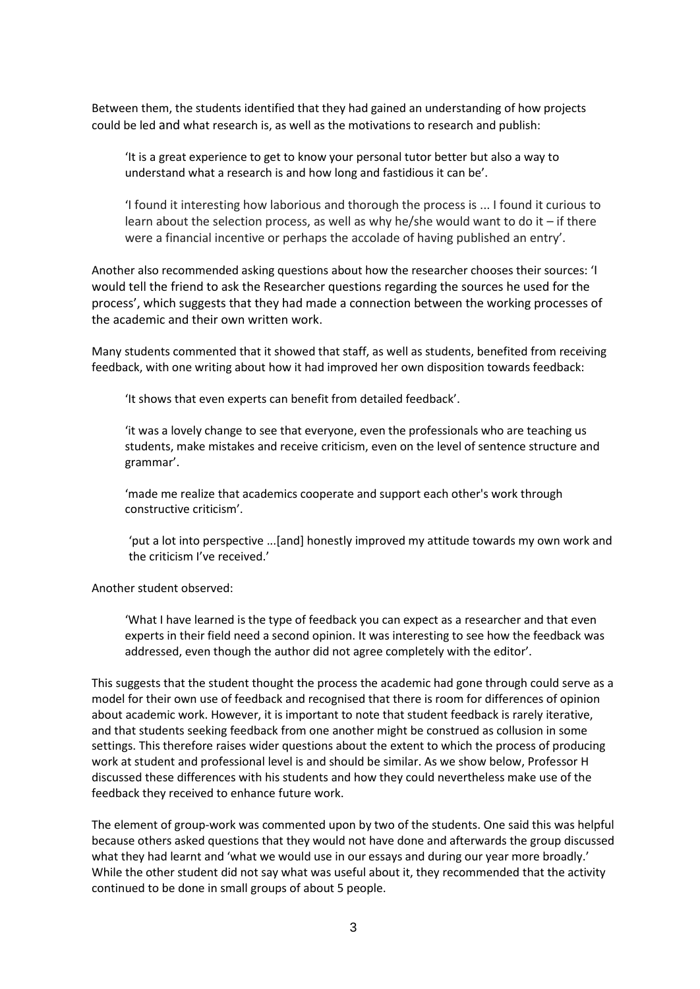Between them, the students identified that they had gained an understanding of how projects could be led and what research is, as well as the motivations to research and publish:

'It is a great experience to get to know your personal tutor better but also a way to understand what a research is and how long and fastidious it can be'.

'I found it interesting how laborious and thorough the process is ... I found it curious to learn about the selection process, as well as why he/she would want to do it – if there were a financial incentive or perhaps the accolade of having published an entry'.

Another also recommended asking questions about how the researcher chooses their sources: 'I would tell the friend to ask the Researcher questions regarding the sources he used for the process', which suggests that they had made a connection between the working processes of the academic and their own written work.

Many students commented that it showed that staff, as well as students, benefited from receiving feedback, with one writing about how it had improved her own disposition towards feedback:

'It shows that even experts can benefit from detailed feedback'.

'it was a lovely change to see that everyone, even the professionals who are teaching us students, make mistakes and receive criticism, even on the level of sentence structure and grammar'.

'made me realize that academics cooperate and support each other's work through constructive criticism'.

'put a lot into perspective ...[and] honestly improved my attitude towards my own work and the criticism I've received.'

#### Another student observed:

'What I have learned is the type of feedback you can expect as a researcher and that even experts in their field need a second opinion. It was interesting to see how the feedback was addressed, even though the author did not agree completely with the editor'.

This suggests that the student thought the process the academic had gone through could serve as a model for their own use of feedback and recognised that there is room for differences of opinion about academic work. However, it is important to note that student feedback is rarely iterative, and that students seeking feedback from one another might be construed as collusion in some settings. This therefore raises wider questions about the extent to which the process of producing work at student and professional level is and should be similar. As we show below, Professor H discussed these differences with his students and how they could nevertheless make use of the feedback they received to enhance future work.

The element of group-work was commented upon by two of the students. One said this was helpful because others asked questions that they would not have done and afterwards the group discussed what they had learnt and 'what we would use in our essays and during our year more broadly.' While the other student did not say what was useful about it, they recommended that the activity continued to be done in small groups of about 5 people.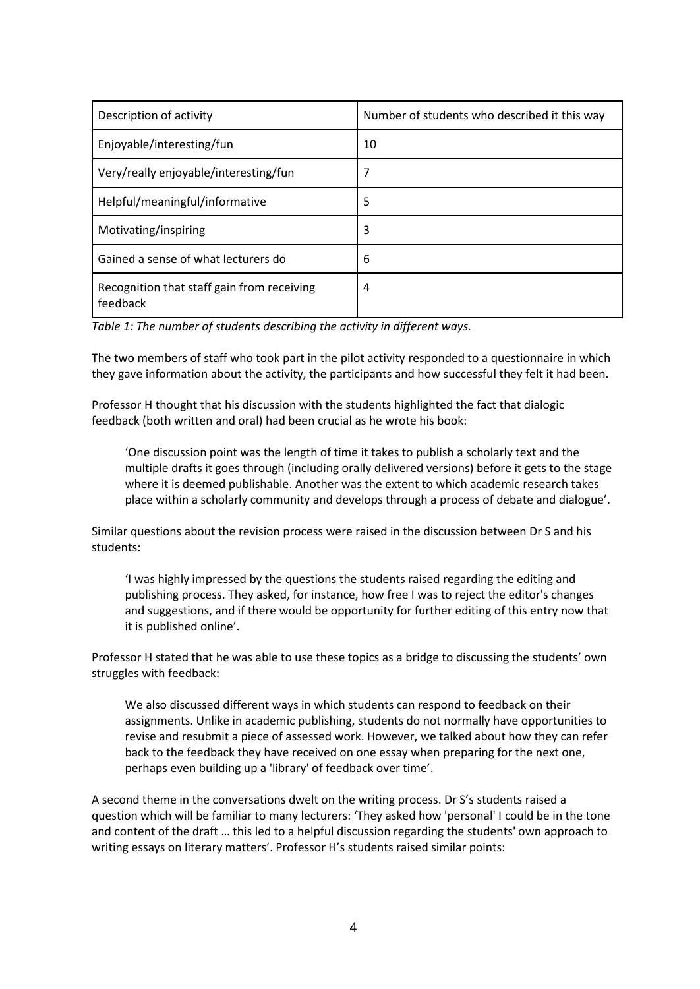| Description of activity                                | Number of students who described it this way |
|--------------------------------------------------------|----------------------------------------------|
| Enjoyable/interesting/fun                              | 10                                           |
| Very/really enjoyable/interesting/fun                  | 7                                            |
| Helpful/meaningful/informative                         | 5                                            |
| Motivating/inspiring                                   | 3                                            |
| Gained a sense of what lecturers do                    | 6                                            |
| Recognition that staff gain from receiving<br>feedback | 4                                            |

*Table 1: The number of students describing the activity in different ways.*

The two members of staff who took part in the pilot activity responded to a questionnaire in which they gave information about the activity, the participants and how successful they felt it had been.

Professor H thought that his discussion with the students highlighted the fact that dialogic feedback (both written and oral) had been crucial as he wrote his book:

'One discussion point was the length of time it takes to publish a scholarly text and the multiple drafts it goes through (including orally delivered versions) before it gets to the stage where it is deemed publishable. Another was the extent to which academic research takes place within a scholarly community and develops through a process of debate and dialogue'.

Similar questions about the revision process were raised in the discussion between Dr S and his students:

'I was highly impressed by the questions the students raised regarding the editing and publishing process. They asked, for instance, how free I was to reject the editor's changes and suggestions, and if there would be opportunity for further editing of this entry now that it is published online'.

Professor H stated that he was able to use these topics as a bridge to discussing the students' own struggles with feedback:

We also discussed different ways in which students can respond to feedback on their assignments. Unlike in academic publishing, students do not normally have opportunities to revise and resubmit a piece of assessed work. However, we talked about how they can refer back to the feedback they have received on one essay when preparing for the next one, perhaps even building up a 'library' of feedback over time'.

A second theme in the conversations dwelt on the writing process. Dr S's students raised a question which will be familiar to many lecturers: 'They asked how 'personal' I could be in the tone and content of the draft … this led to a helpful discussion regarding the students' own approach to writing essays on literary matters'. Professor H's students raised similar points: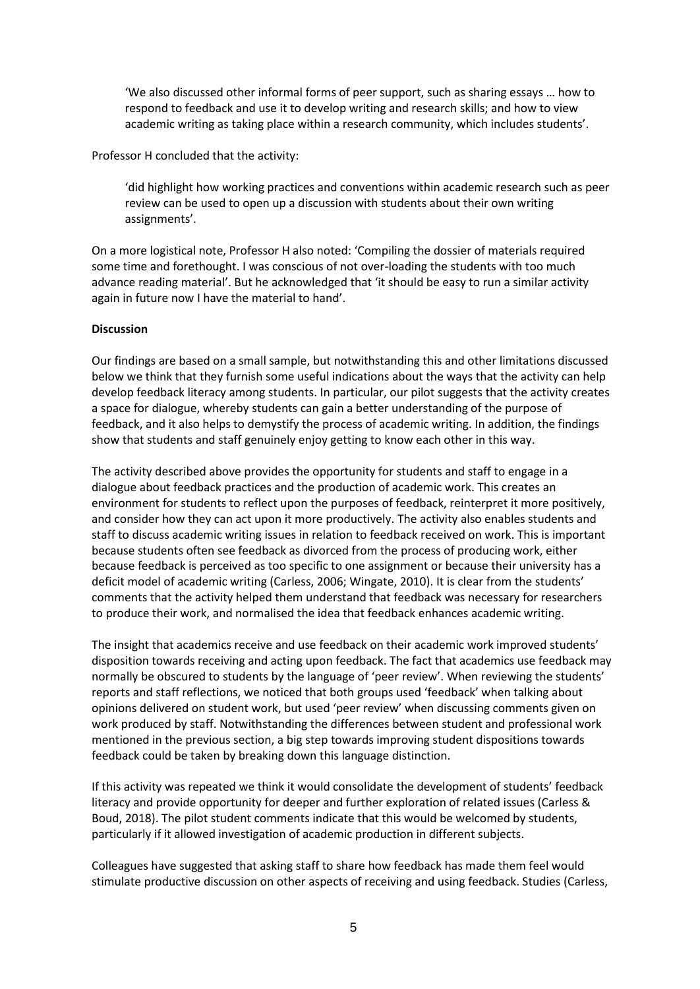'We also discussed other informal forms of peer support, such as sharing essays … how to respond to feedback and use it to develop writing and research skills; and how to view academic writing as taking place within a research community, which includes students'.

Professor H concluded that the activity:

'did highlight how working practices and conventions within academic research such as peer review can be used to open up a discussion with students about their own writing assignments'.

On a more logistical note, Professor H also noted: 'Compiling the dossier of materials required some time and forethought. I was conscious of not over-loading the students with too much advance reading material'. But he acknowledged that 'it should be easy to run a similar activity again in future now I have the material to hand'.

### **Discussion**

Our findings are based on a small sample, but notwithstanding this and other limitations discussed below we think that they furnish some useful indications about the ways that the activity can help develop feedback literacy among students. In particular, our pilot suggests that the activity creates a space for dialogue, whereby students can gain a better understanding of the purpose of feedback, and it also helps to demystify the process of academic writing. In addition, the findings show that students and staff genuinely enjoy getting to know each other in this way.

The activity described above provides the opportunity for students and staff to engage in a dialogue about feedback practices and the production of academic work. This creates an environment for students to reflect upon the purposes of feedback, reinterpret it more positively, and consider how they can act upon it more productively. The activity also enables students and staff to discuss academic writing issues in relation to feedback received on work. This is important because students often see feedback as divorced from the process of producing work, either because feedback is perceived as too specific to one assignment or because their university has a deficit model of academic writing (Carless, 2006; Wingate, 2010). It is clear from the students' comments that the activity helped them understand that feedback was necessary for researchers to produce their work, and normalised the idea that feedback enhances academic writing.

The insight that academics receive and use feedback on their academic work improved students' disposition towards receiving and acting upon feedback. The fact that academics use feedback may normally be obscured to students by the language of 'peer review'. When reviewing the students' reports and staff reflections, we noticed that both groups used 'feedback' when talking about opinions delivered on student work, but used 'peer review' when discussing comments given on work produced by staff. Notwithstanding the differences between student and professional work mentioned in the previous section, a big step towards improving student dispositions towards feedback could be taken by breaking down this language distinction.

If this activity was repeated we think it would consolidate the development of students' feedback literacy and provide opportunity for deeper and further exploration of related issues (Carless & Boud, 2018). The pilot student comments indicate that this would be welcomed by students, particularly if it allowed investigation of academic production in different subjects.

Colleagues have suggested that asking staff to share how feedback has made them feel would stimulate productive discussion on other aspects of receiving and using feedback. Studies (Carless,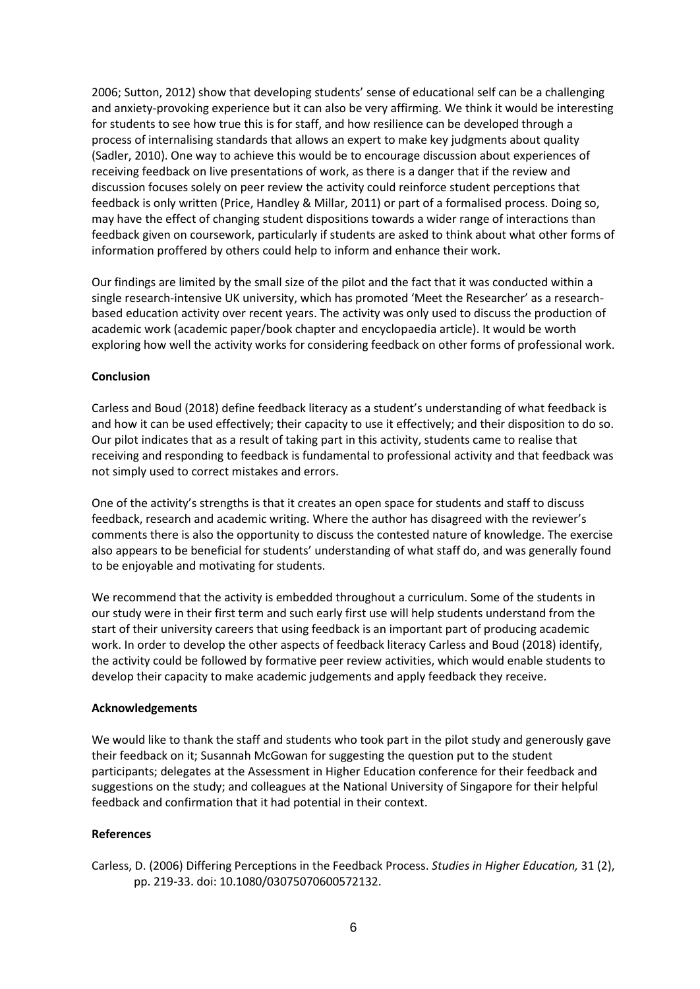2006; Sutton, 2012) show that developing students' sense of educational self can be a challenging and anxiety-provoking experience but it can also be very affirming. We think it would be interesting for students to see how true this is for staff, and how resilience can be developed through a process of internalising standards that allows an expert to make key judgments about quality (Sadler, 2010). One way to achieve this would be to encourage discussion about experiences of receiving feedback on live presentations of work, as there is a danger that if the review and discussion focuses solely on peer review the activity could reinforce student perceptions that feedback is only written (Price, Handley & Millar, 2011) or part of a formalised process. Doing so, may have the effect of changing student dispositions towards a wider range of interactions than feedback given on coursework, particularly if students are asked to think about what other forms of information proffered by others could help to inform and enhance their work.

Our findings are limited by the small size of the pilot and the fact that it was conducted within a single research-intensive UK university, which has promoted 'Meet the Researcher' as a researchbased education activity over recent years. The activity was only used to discuss the production of academic work (academic paper/book chapter and encyclopaedia article). It would be worth exploring how well the activity works for considering feedback on other forms of professional work.

### **Conclusion**

Carless and Boud (2018) define feedback literacy as a student's understanding of what feedback is and how it can be used effectively; their capacity to use it effectively; and their disposition to do so. Our pilot indicates that as a result of taking part in this activity, students came to realise that receiving and responding to feedback is fundamental to professional activity and that feedback was not simply used to correct mistakes and errors.

One of the activity's strengths is that it creates an open space for students and staff to discuss feedback, research and academic writing. Where the author has disagreed with the reviewer's comments there is also the opportunity to discuss the contested nature of knowledge. The exercise also appears to be beneficial for students' understanding of what staff do, and was generally found to be enjoyable and motivating for students.

We recommend that the activity is embedded throughout a curriculum. Some of the students in our study were in their first term and such early first use will help students understand from the start of their university careers that using feedback is an important part of producing academic work. In order to develop the other aspects of feedback literacy Carless and Boud (2018) identify, the activity could be followed by formative peer review activities, which would enable students to develop their capacity to make academic judgements and apply feedback they receive.

### **Acknowledgements**

We would like to thank the staff and students who took part in the pilot study and generously gave their feedback on it; Susannah McGowan for suggesting the question put to the student participants; delegates at the Assessment in Higher Education conference for their feedback and suggestions on the study; and colleagues at the National University of Singapore for their helpful feedback and confirmation that it had potential in their context.

# **References**

Carless, D. (2006) Differing Perceptions in the Feedback Process. *Studies in Higher Education,* 31 (2), pp. 219-33. doi: 10.1080/03075070600572132.